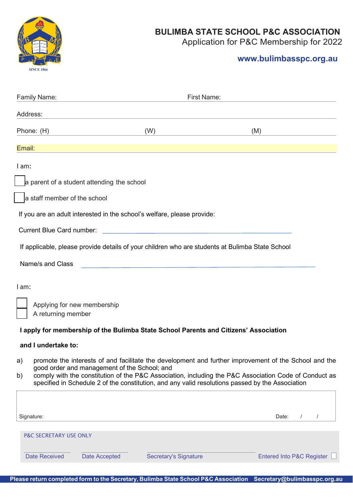

Application for P&C Membership for 2022

## **[www.bulimbasspc.org.au](http://www.bulimbasspc.org.au/)**

| Family Name:                                                                                                                                                                                                                                                                                                                                                                   |                                            | <b>First Name:</b>                                                                                                                                                                                                            |                                      |  |
|--------------------------------------------------------------------------------------------------------------------------------------------------------------------------------------------------------------------------------------------------------------------------------------------------------------------------------------------------------------------------------|--------------------------------------------|-------------------------------------------------------------------------------------------------------------------------------------------------------------------------------------------------------------------------------|--------------------------------------|--|
| Address:                                                                                                                                                                                                                                                                                                                                                                       |                                            |                                                                                                                                                                                                                               |                                      |  |
| Phone: (H)                                                                                                                                                                                                                                                                                                                                                                     |                                            | (W)                                                                                                                                                                                                                           | (M)                                  |  |
| Email:                                                                                                                                                                                                                                                                                                                                                                         |                                            |                                                                                                                                                                                                                               |                                      |  |
| I am:                                                                                                                                                                                                                                                                                                                                                                          |                                            |                                                                                                                                                                                                                               |                                      |  |
|                                                                                                                                                                                                                                                                                                                                                                                | a parent of a student attending the school |                                                                                                                                                                                                                               |                                      |  |
| a staff member of the school                                                                                                                                                                                                                                                                                                                                                   |                                            |                                                                                                                                                                                                                               |                                      |  |
|                                                                                                                                                                                                                                                                                                                                                                                |                                            | If you are an adult interested in the school's welfare, please provide:                                                                                                                                                       |                                      |  |
| <b>Current Blue Card number:</b>                                                                                                                                                                                                                                                                                                                                               |                                            |                                                                                                                                                                                                                               |                                      |  |
| If applicable, please provide details of your children who are students at Bulimba State School                                                                                                                                                                                                                                                                                |                                            |                                                                                                                                                                                                                               |                                      |  |
| Name/s and Class                                                                                                                                                                                                                                                                                                                                                               |                                            | the control of the control of the control of the control of the control of the control of the control of the control of the control of the control of the control of the control of the control of the control of the control |                                      |  |
| I am:<br>A returning member                                                                                                                                                                                                                                                                                                                                                    | Applying for new membership                |                                                                                                                                                                                                                               |                                      |  |
| I apply for membership of the Bulimba State School Parents and Citizens' Association                                                                                                                                                                                                                                                                                           |                                            |                                                                                                                                                                                                                               |                                      |  |
| and I undertake to:                                                                                                                                                                                                                                                                                                                                                            |                                            |                                                                                                                                                                                                                               |                                      |  |
| promote the interests of and facilitate the development and further improvement of the School and the<br>a)<br>good order and management of the School; and<br>comply with the constitution of the P&C Association, including the P&C Association Code of Conduct as<br>b)<br>specified in Schedule 2 of the constitution, and any valid resolutions passed by the Association |                                            |                                                                                                                                                                                                                               |                                      |  |
| Signature:                                                                                                                                                                                                                                                                                                                                                                     |                                            |                                                                                                                                                                                                                               | Date:<br>$\prime$                    |  |
| <b>P&amp;C SECRETARY USE ONLY</b>                                                                                                                                                                                                                                                                                                                                              |                                            |                                                                                                                                                                                                                               |                                      |  |
| <b>Date Received</b>                                                                                                                                                                                                                                                                                                                                                           | <b>Date Accepted</b>                       | <b>Secretary's Signature</b>                                                                                                                                                                                                  | <b>Entered Into P&amp;C Register</b> |  |